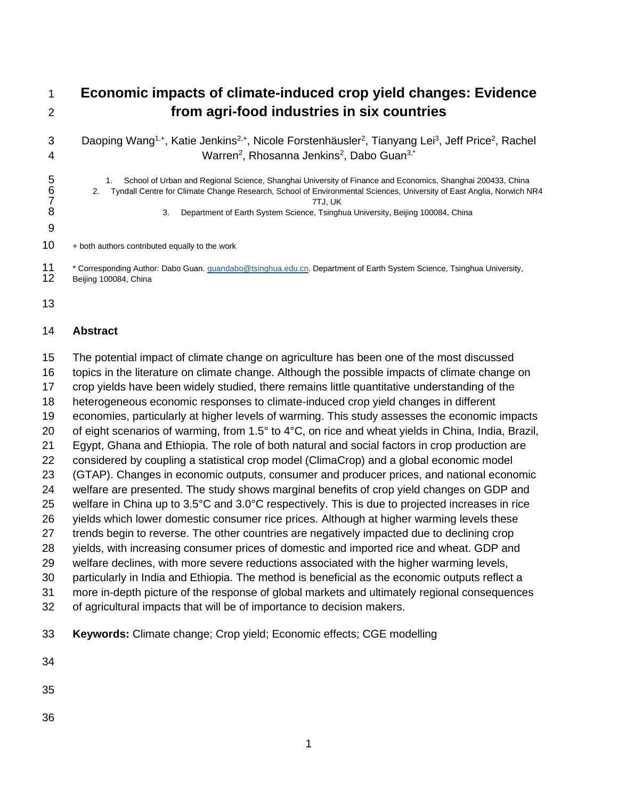# **Economic impacts of climate-induced crop yield changes: Evidence from agri-food industries in six countries**

3 Daoping Wang<sup>1,+</sup>, Katie Jenkins<sup>2,+</sup>, Nicole Forstenhäusler<sup>2</sup>, Tianyang Lei<sup>3</sup>, Jeff Price<sup>2</sup>, Rachel 4 Marren<sup>2</sup>, Rhosanna Jenkins<sup>2</sup>, Dabo Guan<sup>3,\*</sup>

- 5 1. School of Urban and Regional Science, Shanghai University of Finance and Economics, Shanghai 200433, China<br>6 2. Tyndall Centre for Climate Change Research, School of Environmental Sciences, University of East Anglia, 2. Tyndall Centre for Climate Change Research, School of Environmental Sciences, University of East Anglia, Norwich NR4 7TJ, UK 8 3. Department of Earth System Science, Tsinghua University, Beijing 100084, China
- + both authors contributed equally to the work

<sup>11</sup> \* Corresponding Author: Dabo Guan. *guandabo@tsinghua.edu.cn*. Department of Earth System Science, Tsinghua University,<br>12 Beijing 100084, China Beijing 100084, China

#### **Abstract**

 The potential impact of climate change on agriculture has been one of the most discussed topics in the literature on climate change. Although the possible impacts of climate change on crop yields have been widely studied, there remains little quantitative understanding of the heterogeneous economic responses to climate-induced crop yield changes in different economies, particularly at higher levels of warming. This study assesses the economic impacts 20 of eight scenarios of warming, from 1.5° to 4°C, on rice and wheat yields in China, India, Brazil, Egypt, Ghana and Ethiopia. The role of both natural and social factors in crop production are considered by coupling a statistical crop model (ClimaCrop) and a global economic model (GTAP). Changes in economic outputs, consumer and producer prices, and national economic welfare are presented. The study shows marginal benefits of crop yield changes on GDP and welfare in China up to 3.5°C and 3.0°C respectively. This is due to projected increases in rice yields which lower domestic consumer rice prices. Although at higher warming levels these trends begin to reverse. The other countries are negatively impacted due to declining crop yields, with increasing consumer prices of domestic and imported rice and wheat. GDP and welfare declines, with more severe reductions associated with the higher warming levels, particularly in India and Ethiopia. The method is beneficial as the economic outputs reflect a more in-depth picture of the response of global markets and ultimately regional consequences of agricultural impacts that will be of importance to decision makers. **Keywords:** Climate change; Crop yield; Economic effects; CGE modelling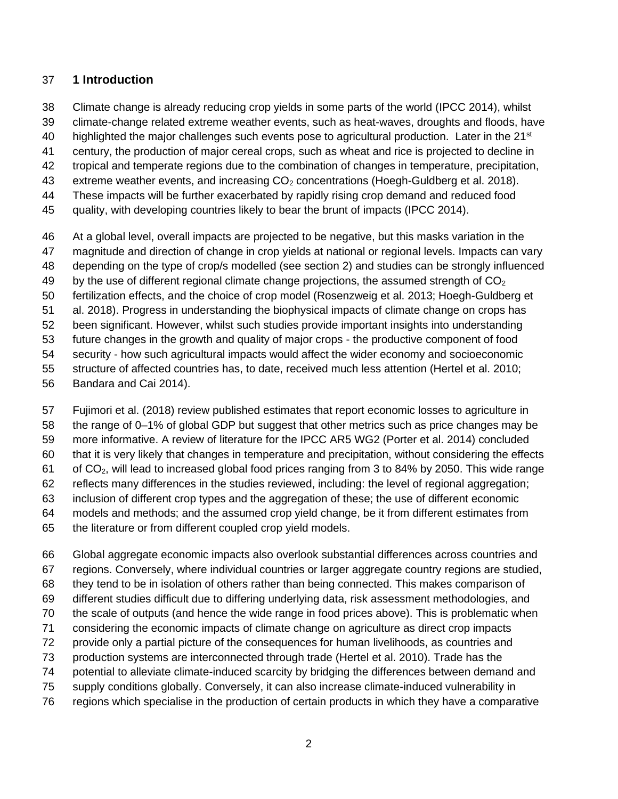## **1 Introduction**

- Climate change is already reducing crop yields in some parts of the world (IPCC 2014), whilst
- climate-change related extreme weather events, such as heat-waves, droughts and floods, have
- 40 highlighted the major challenges such events pose to agricultural production. Later in the  $21^{st}$
- century, the production of major cereal crops, such as wheat and rice is projected to decline in
- tropical and temperate regions due to the combination of changes in temperature, precipitation,
- 43 extreme weather events, and increasing CO<sub>2</sub> concentrations (Hoegh-Guldberg et al. 2018).
- These impacts will be further exacerbated by rapidly rising crop demand and reduced food
- quality, with developing countries likely to bear the brunt of impacts (IPCC 2014).
- At a global level, overall impacts are projected to be negative, but this masks variation in the magnitude and direction of change in crop yields at national or regional levels. Impacts can vary depending on the type of crop/s modelled (see section 2) and studies can be strongly influenced 49 by the use of different regional climate change projections, the assumed strength of  $CO<sub>2</sub>$  fertilization effects, and the choice of crop model (Rosenzweig et al. 2013; Hoegh-Guldberg et al. 2018). Progress in understanding the biophysical impacts of climate change on crops has been significant. However, whilst such studies provide important insights into understanding future changes in the growth and quality of major crops - the productive component of food security - how such agricultural impacts would affect the wider economy and socioeconomic structure of affected countries has, to date, received much less attention (Hertel et al. 2010;
- Bandara and Cai 2014).
- Fujimori et al. (2018) review published estimates that report economic losses to agriculture in
- the range of 0–1% of global GDP but suggest that other metrics such as price changes may be
- more informative. A review of literature for the IPCC AR5 WG2 (Porter et al. 2014) concluded
- that it is very likely that changes in temperature and precipitation, without considering the effects of CO2, will lead to increased global food prices ranging from 3 to 84% by 2050. This wide range
- reflects many differences in the studies reviewed, including: the level of regional aggregation;
- inclusion of different crop types and the aggregation of these; the use of different economic
- models and methods; and the assumed crop yield change, be it from different estimates from
- the literature or from different coupled crop yield models.
- Global aggregate economic impacts also overlook substantial differences across countries and regions. Conversely, where individual countries or larger aggregate country regions are studied, they tend to be in isolation of others rather than being connected. This makes comparison of different studies difficult due to differing underlying data, risk assessment methodologies, and the scale of outputs (and hence the wide range in food prices above). This is problematic when considering the economic impacts of climate change on agriculture as direct crop impacts provide only a partial picture of the consequences for human livelihoods, as countries and production systems are interconnected through trade (Hertel et al. 2010). Trade has the potential to alleviate climate-induced scarcity by bridging the differences between demand and supply conditions globally. Conversely, it can also increase climate-induced vulnerability in
- regions which specialise in the production of certain products in which they have a comparative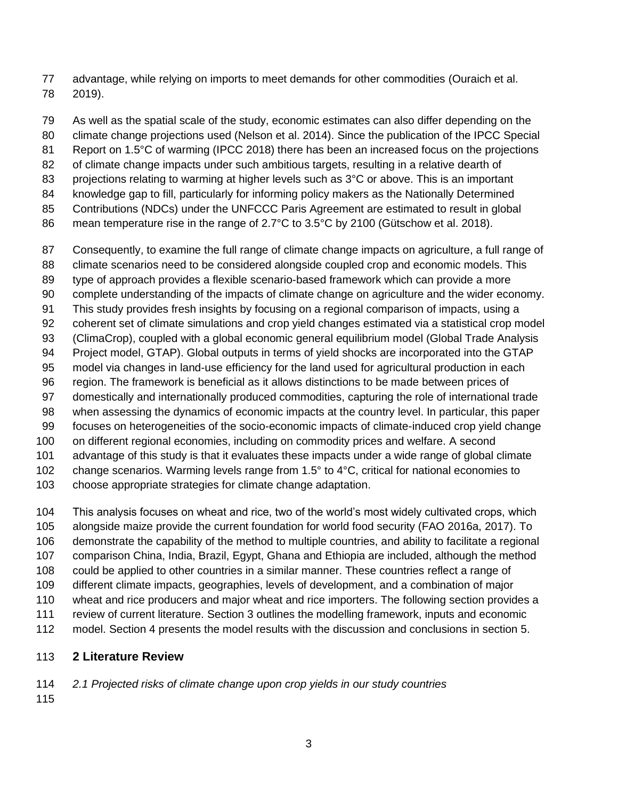advantage, while relying on imports to meet demands for other commodities (Ouraich et al. 2019).

 As well as the spatial scale of the study, economic estimates can also differ depending on the climate change projections used (Nelson et al. 2014). Since the publication of the IPCC Special 81 Report on 1.5°C of warming (IPCC 2018) there has been an increased focus on the projections of climate change impacts under such ambitious targets, resulting in a relative dearth of 83 projections relating to warming at higher levels such as 3°C or above. This is an important knowledge gap to fill, particularly for informing policy makers as the Nationally Determined Contributions (NDCs) under the UNFCCC Paris Agreement are estimated to result in global mean temperature rise in the range of 2.7°C to 3.5°C by 2100 (Gütschow et al. 2018). Consequently, to examine the full range of climate change impacts on agriculture, a full range of climate scenarios need to be considered alongside coupled crop and economic models. This

 type of approach provides a flexible scenario-based framework which can provide a more complete understanding of the impacts of climate change on agriculture and the wider economy.

- This study provides fresh insights by focusing on a regional comparison of impacts, using a
- coherent set of climate simulations and crop yield changes estimated via a statistical crop model
- (ClimaCrop), coupled with a global economic general equilibrium model (Global Trade Analysis
- Project model, GTAP). Global outputs in terms of yield shocks are incorporated into the GTAP
- model via changes in land-use efficiency for the land used for agricultural production in each
- region. The framework is beneficial as it allows distinctions to be made between prices of domestically and internationally produced commodities, capturing the role of international trade
- when assessing the dynamics of economic impacts at the country level. In particular, this paper
- focuses on heterogeneities of the socio-economic impacts of climate-induced crop yield change
- on different regional economies, including on commodity prices and welfare. A second
- advantage of this study is that it evaluates these impacts under a wide range of global climate
- change scenarios. Warming levels range from 1.5° to 4°C, critical for national economies to
- choose appropriate strategies for climate change adaptation.

 This analysis focuses on wheat and rice, two of the world's most widely cultivated crops, which alongside maize provide the current foundation for world food security (FAO 2016a, 2017). To demonstrate the capability of the method to multiple countries, and ability to facilitate a regional comparison China, India, Brazil, Egypt, Ghana and Ethiopia are included, although the method

- could be applied to other countries in a similar manner. These countries reflect a range of
- different climate impacts, geographies, levels of development, and a combination of major
- wheat and rice producers and major wheat and rice importers. The following section provides a
- review of current literature. Section 3 outlines the modelling framework, inputs and economic
- model. Section 4 presents the model results with the discussion and conclusions in section 5.

# **2 Literature Review**

- *2.1 Projected risks of climate change upon crop yields in our study countries*
-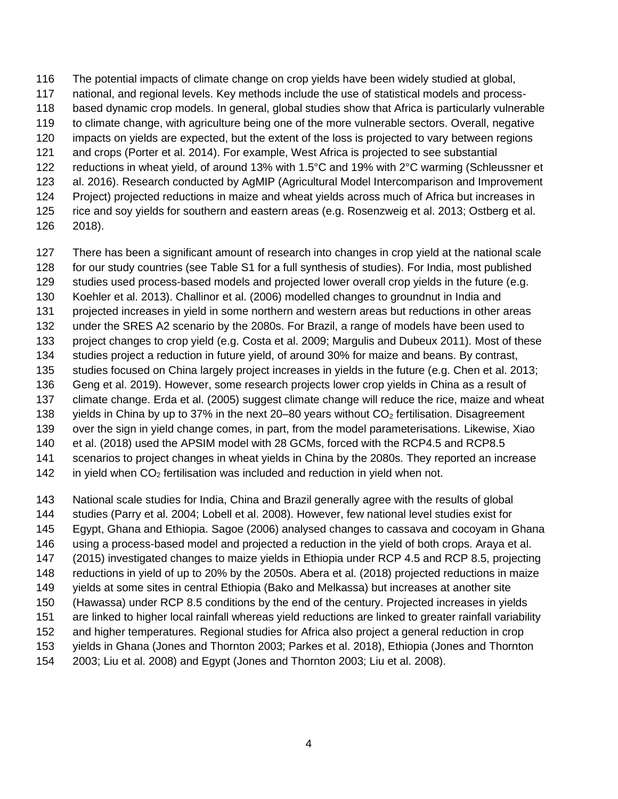The potential impacts of climate change on crop yields have been widely studied at global, national, and regional levels. Key methods include the use of statistical models and process- based dynamic crop models. In general, global studies show that Africa is particularly vulnerable to climate change, with agriculture being one of the more vulnerable sectors. Overall, negative impacts on yields are expected, but the extent of the loss is projected to vary between regions and crops (Porter et al. 2014). For example, West Africa is projected to see substantial reductions in wheat yield, of around 13% with 1.5°C and 19% with 2°C warming (Schleussner et al. 2016). Research conducted by AgMIP (Agricultural Model Intercomparison and Improvement Project) projected reductions in maize and wheat yields across much of Africa but increases in rice and soy yields for southern and eastern areas (e.g. Rosenzweig et al. 2013; Ostberg et al.

- 2018).
- There has been a significant amount of research into changes in crop yield at the national scale
- for our study countries (see Table S1 for a full synthesis of studies). For India, most published
- studies used process-based models and projected lower overall crop yields in the future (e.g.
- Koehler et al. 2013). Challinor et al. (2006) modelled changes to groundnut in India and
- projected increases in yield in some northern and western areas but reductions in other areas
- under the SRES A2 scenario by the 2080s. For Brazil, a range of models have been used to
- project changes to crop yield (e.g. Costa et al. 2009; Margulis and Dubeux 2011). Most of these
- studies project a reduction in future yield, of around 30% for maize and beans. By contrast,
- studies focused on China largely project increases in yields in the future (e.g. Chen et al. 2013; Geng et al. 2019). However, some research projects lower crop yields in China as a result of
- climate change. Erda et al. (2005) suggest climate change will reduce the rice, maize and wheat
- 138 yields in China by up to 37% in the next 20–80 years without  $CO<sub>2</sub>$  fertilisation. Disagreement
- over the sign in yield change comes, in part, from the model parameterisations. Likewise, Xiao
- et al. (2018) used the APSIM model with 28 GCMs, forced with the RCP4.5 and RCP8.5
- scenarios to project changes in wheat yields in China by the 2080s. They reported an increase
- 142 in yield when  $CO<sub>2</sub>$  fertilisation was included and reduction in yield when not.
- National scale studies for India, China and Brazil generally agree with the results of global
- studies (Parry et al. 2004; Lobell et al. 2008). However, few national level studies exist for
- Egypt, Ghana and Ethiopia. Sagoe (2006) analysed changes to cassava and cocoyam in Ghana
- using a process-based model and projected a reduction in the yield of both crops. Araya et al.
- (2015) investigated changes to maize yields in Ethiopia under RCP 4.5 and RCP 8.5, projecting
- reductions in yield of up to 20% by the 2050s. Abera et al. (2018) projected reductions in maize
- yields at some sites in central Ethiopia (Bako and Melkassa) but increases at another site
- (Hawassa) under RCP 8.5 conditions by the end of the century. Projected increases in yields
- are linked to higher local rainfall whereas yield reductions are linked to greater rainfall variability
- and higher temperatures. Regional studies for Africa also project a general reduction in crop
- yields in Ghana (Jones and Thornton 2003; Parkes et al. 2018), Ethiopia (Jones and Thornton
- 2003; Liu et al. 2008) and Egypt (Jones and Thornton 2003; Liu et al. 2008).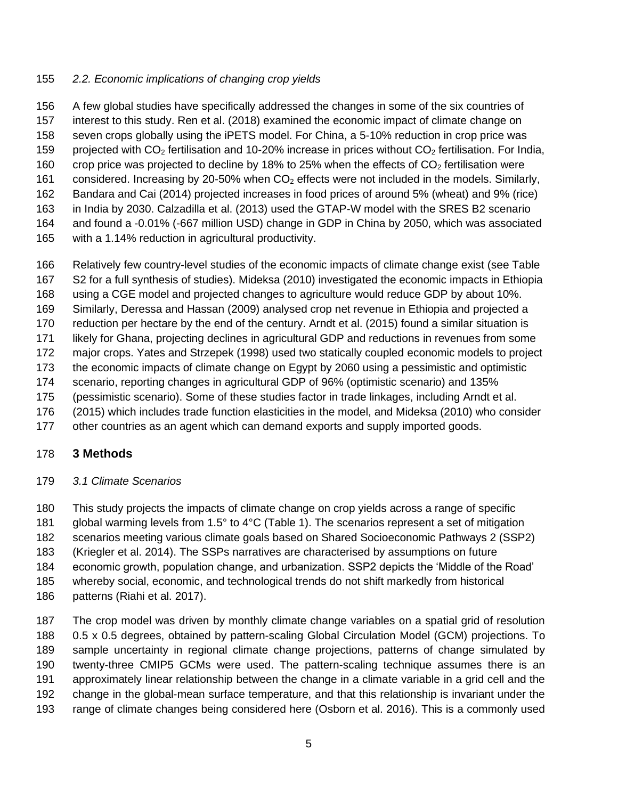## *2.2. Economic implications of changing crop yields*

 A few global studies have specifically addressed the changes in some of the six countries of interest to this study. Ren et al. (2018) examined the economic impact of climate change on seven crops globally using the iPETS model. For China, a 5-10% reduction in crop price was 159 projected with  $CO<sub>2</sub>$  fertilisation and 10-20% increase in prices without  $CO<sub>2</sub>$  fertilisation. For India, 160 crop price was projected to decline by 18% to 25% when the effects of  $CO<sub>2</sub>$  fertilisation were 161 considered. Increasing by 20-50% when  $CO<sub>2</sub>$  effects were not included in the models. Similarly, Bandara and Cai (2014) projected increases in food prices of around 5% (wheat) and 9% (rice) in India by 2030. Calzadilla et al. (2013) used the GTAP-W model with the SRES B2 scenario and found a -0.01% (-667 million USD) change in GDP in China by 2050, which was associated with a 1.14% reduction in agricultural productivity.

- Relatively few country-level studies of the economic impacts of climate change exist (see Table S2 for a full synthesis of studies). Mideksa (2010) investigated the economic impacts in Ethiopia using a CGE model and projected changes to agriculture would reduce GDP by about 10%. Similarly, Deressa and Hassan (2009) analysed crop net revenue in Ethiopia and projected a
- reduction per hectare by the end of the century. Arndt et al. (2015) found a similar situation is
- likely for Ghana, projecting declines in agricultural GDP and reductions in revenues from some
- major crops. Yates and Strzepek (1998) used two statically coupled economic models to project
- the economic impacts of climate change on Egypt by 2060 using a pessimistic and optimistic
- scenario, reporting changes in agricultural GDP of 96% (optimistic scenario) and 135%
- (pessimistic scenario). Some of these studies factor in trade linkages, including Arndt et al.
- (2015) which includes trade function elasticities in the model, and Mideksa (2010) who consider
- other countries as an agent which can demand exports and supply imported goods.

## **3 Methods**

## *3.1 Climate Scenarios*

 This study projects the impacts of climate change on crop yields across a range of specific global warming levels from 1.5° to 4°C (Table 1). The scenarios represent a set of mitigation

- scenarios meeting various climate goals based on Shared Socioeconomic Pathways 2 (SSP2)
- (Kriegler et al. 2014). The SSPs narratives are characterised by assumptions on future
- economic growth, population change, and urbanization. SSP2 depicts the 'Middle of the Road'
- whereby social, economic, and technological trends do not shift markedly from historical patterns (Riahi et al. 2017).

 The crop model was driven by monthly climate change variables on a spatial grid of resolution 0.5 x 0.5 degrees, obtained by pattern-scaling Global Circulation Model (GCM) projections. To sample uncertainty in regional climate change projections, patterns of change simulated by twenty-three CMIP5 GCMs were used. The pattern-scaling technique assumes there is an approximately linear relationship between the change in a climate variable in a grid cell and the change in the global-mean surface temperature, and that this relationship is invariant under the range of climate changes being considered here (Osborn et al. 2016). This is a commonly used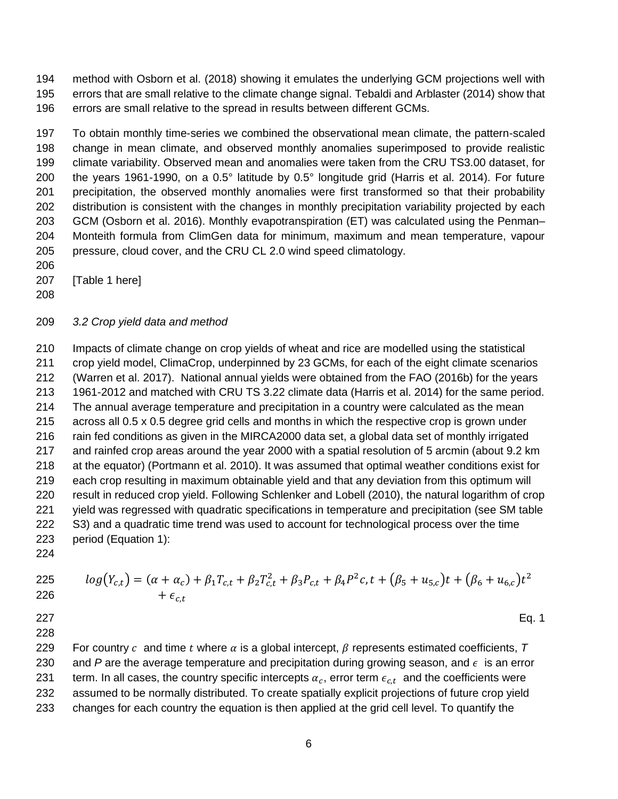method with Osborn et al. (2018) showing it emulates the underlying GCM projections well with errors that are small relative to the climate change signal. Tebaldi and Arblaster (2014) show that errors are small relative to the spread in results between different GCMs.

 To obtain monthly time-series we combined the observational mean climate, the pattern-scaled change in mean climate, and observed monthly anomalies superimposed to provide realistic climate variability. Observed mean and anomalies were taken from the CRU TS3.00 dataset, for the years 1961-1990, on a 0.5° latitude by 0.5° longitude grid (Harris et al. 2014). For future precipitation, the observed monthly anomalies were first transformed so that their probability distribution is consistent with the changes in monthly precipitation variability projected by each GCM (Osborn et al. 2016). Monthly evapotranspiration (ET) was calculated using the Penman– Monteith formula from ClimGen data for minimum, maximum and mean temperature, vapour pressure, cloud cover, and the CRU CL 2.0 wind speed climatology.

- 
- [Table 1 here]
- 

#### *3.2 Crop yield data and method*

 Impacts of climate change on crop yields of wheat and rice are modelled using the statistical crop yield model, ClimaCrop, underpinned by 23 GCMs, for each of the eight climate scenarios (Warren et al. 2017). National annual yields were obtained from the FAO (2016b) for the years 1961-2012 and matched with CRU TS 3.22 climate data (Harris et al. 2014) for the same period. The annual average temperature and precipitation in a country were calculated as the mean across all 0.5 x 0.5 degree grid cells and months in which the respective crop is grown under 216 rain fed conditions as given in the MIRCA2000 data set, a global data set of monthly irrigated and rainfed crop areas around the year 2000 with a spatial resolution of 5 arcmin (about 9.2 km at the equator) (Portmann et al. 2010). It was assumed that optimal weather conditions exist for each crop resulting in maximum obtainable yield and that any deviation from this optimum will result in reduced crop yield. Following Schlenker and Lobell (2010), the natural logarithm of crop yield was regressed with quadratic specifications in temperature and precipitation (see SM table S3) and a quadratic time trend was used to account for technological process over the time period (Equation 1):

225 
$$
log(Y_{c,t}) = (\alpha + \alpha_c) + \beta_1 T_{c,t} + \beta_2 T_{c,t}^2 + \beta_3 P_{c,t} + \beta_4 P^2 c, t + (\beta_5 + u_{5,c})t + (\beta_6 + u_{6,c})t^2 + \epsilon_{c,t}
$$

Eq. 1

229 For country  $c$  and time  $t$  where  $\alpha$  is a global intercept,  $\beta$  represents estimated coefficients,  $T$ 230 and P are the average temperature and precipitation during growing season, and  $\epsilon$  is an error 231 berm. In all cases, the country specific intercepts  $\alpha_c$ , error term  $\epsilon_{c,t}$  and the coefficients were assumed to be normally distributed. To create spatially explicit projections of future crop yield

changes for each country the equation is then applied at the grid cell level. To quantify the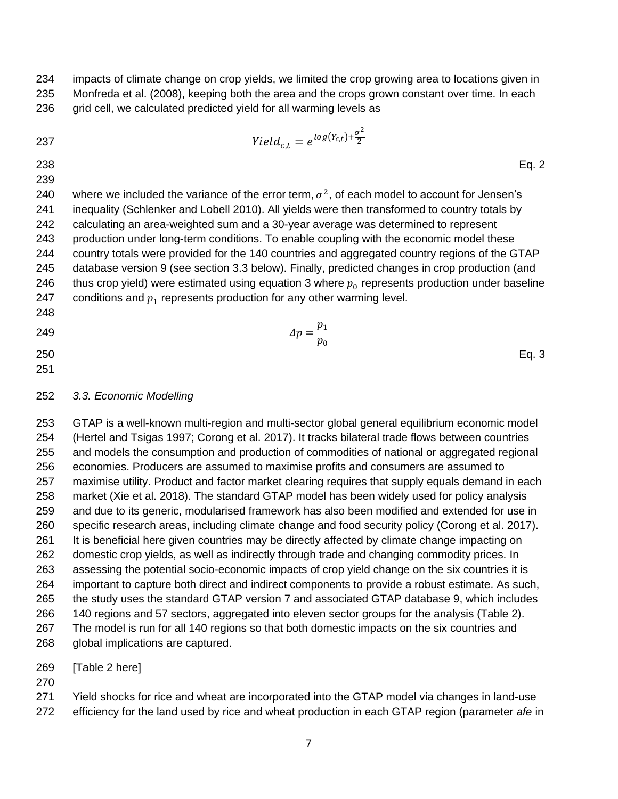impacts of climate change on crop yields, we limited the crop growing area to locations given in Monfreda et al. (2008), keeping both the area and the crops grown constant over time. In each

236 grid cell, we calculated predicted yield for all warming levels as

| 237 | $Yield_{ct}=e^{log(Y_{c,t})+\frac{\sigma^2}{2}}$                                                     |
|-----|------------------------------------------------------------------------------------------------------|
| 238 | Eq. $2$                                                                                              |
| 239 |                                                                                                      |
| 240 | where we included the variance of the error term, $\sigma^2$ , of each model to account for Jensen's |
| 241 | inequality (Schlenker and Lobell 2010). All yields were then transformed to country totals by        |

 calculating an area-weighted sum and a 30-year average was determined to represent production under long-term conditions. To enable coupling with the economic model these country totals were provided for the 140 countries and aggregated country regions of the GTAP database version 9 (see section 3.3 below). Finally, predicted changes in crop production (and 246 thus crop yield) were estimated using equation 3 where  $p_0$  represents production under baseline 247 conditions and  $p_1$  represents production for any other warming level.

  $\Delta p = \frac{p_1}{q_2}$  $p_{0}$  Eq. 3

#### *3.3. Economic Modelling*

 GTAP is a well-known multi-region and multi-sector global general equilibrium economic model (Hertel and Tsigas 1997; Corong et al. 2017). It tracks bilateral trade flows between countries and models the consumption and production of commodities of national or aggregated regional economies. Producers are assumed to maximise profits and consumers are assumed to maximise utility. Product and factor market clearing requires that supply equals demand in each market (Xie et al. 2018). The standard GTAP model has been widely used for policy analysis and due to its generic, modularised framework has also been modified and extended for use in specific research areas, including climate change and food security policy (Corong et al. 2017). It is beneficial here given countries may be directly affected by climate change impacting on domestic crop yields, as well as indirectly through trade and changing commodity prices. In assessing the potential socio-economic impacts of crop yield change on the six countries it is important to capture both direct and indirect components to provide a robust estimate. As such, the study uses the standard GTAP version 7 and associated GTAP database 9, which includes 140 regions and 57 sectors, aggregated into eleven sector groups for the analysis (Table 2). The model is run for all 140 regions so that both domestic impacts on the six countries and global implications are captured.

[Table 2 here]

 Yield shocks for rice and wheat are incorporated into the GTAP model via changes in land-use efficiency for the land used by rice and wheat production in each GTAP region (parameter *afe* in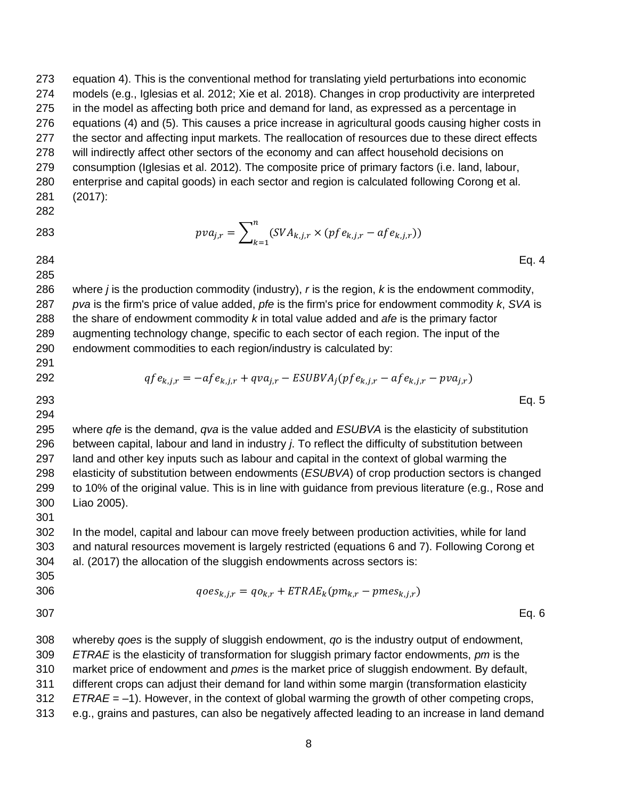equation 4). This is the conventional method for translating yield perturbations into economic models (e.g., Iglesias et al. 2012; Xie et al. 2018). Changes in crop productivity are interpreted in the model as affecting both price and demand for land, as expressed as a percentage in equations (4) and (5). This causes a price increase in agricultural goods causing higher costs in the sector and affecting input markets. The reallocation of resources due to these direct effects will indirectly affect other sectors of the economy and can affect household decisions on consumption (Iglesias et al. 2012). The composite price of primary factors (i.e. land, labour, enterprise and capital goods) in each sector and region is calculated following Corong et al. (2017):

 $\boldsymbol{n}$ 

 $k=1$ 

 Eq. 4 

 where *j* is the production commodity (industry), *r* is the region, *k* is the endowment commodity, *pva* is the firm's price of value added, *pfe* is the firm's price for endowment commodity *k*, *SVA* is the share of endowment commodity *k* in total value added and *afe* is the primary factor augmenting technology change, specific to each sector of each region. The input of the endowment commodities to each region/industry is calculated by:

 $pva_{j,r} = \sum_{\alpha} (SVA_{k,j,r} \times (pfe_{k,j,r} - afe_{k,j,r}))$ 

292 
$$
qfe_{k,j,r} = -af e_{k,j,r} + qv a_{j,r} - ESUBVA_j (pfe_{k,j,r} - af e_{k,j,r} - pva_{j,r})
$$

 Eq. 5 

 where *qfe* is the demand, *qva* is the value added and *ESUBVA* is the elasticity of substitution between capital, labour and land in industry *j*. To reflect the difficulty of substitution between land and other key inputs such as labour and capital in the context of global warming the elasticity of substitution between endowments (*ESUBVA*) of crop production sectors is changed to 10% of the original value. This is in line with guidance from previous literature (e.g., Rose and Liao 2005). 

 In the model, capital and labour can move freely between production activities, while for land and natural resources movement is largely restricted (equations 6 and 7). Following Corong et al. (2017) the allocation of the sluggish endowments across sectors is:

$$
qoes_{k,j,r} = qo_{k,r} + ETRAE_k(pm_{k,r} - pmes_{k,j,r})
$$

Eq. 6

 whereby *qoes* is the supply of sluggish endowment, *qo* is the industry output of endowment, *ETRAE* is the elasticity of transformation for sluggish primary factor endowments, *pm* is the market price of endowment and *pmes* is the market price of sluggish endowment. By default, different crops can adjust their demand for land within some margin (transformation elasticity

*ETRAE* = –1). However, in the context of global warming the growth of other competing crops,

e.g., grains and pastures, can also be negatively affected leading to an increase in land demand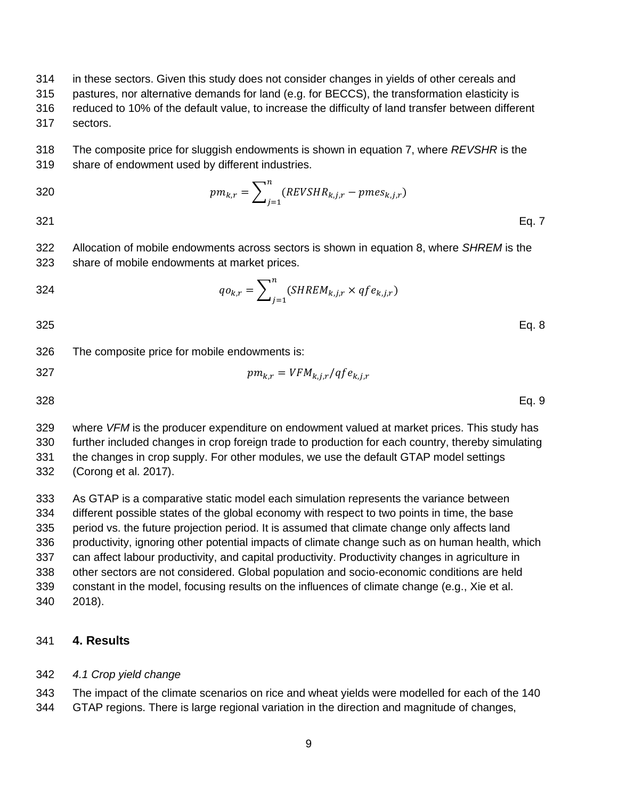in these sectors. Given this study does not consider changes in yields of other cereals and

- pastures, nor alternative demands for land (e.g. for BECCS), the transformation elasticity is
- reduced to 10% of the default value, to increase the difficulty of land transfer between different sectors.

 The composite price for sluggish endowments is shown in equation 7, where *REVSHR* is the share of endowment used by different industries.

320

\n
$$
pm_{k,r} = \sum_{j=1}^{n} (REVSHR_{k,j,r} - \text{pmes}_{k,j,r})
$$
\n321

\nEq. 7

 Allocation of mobile endowments across sectors is shown in equation 8, where *SHREM* is the share of mobile endowments at market prices.

$$
q_{0k,r} = \sum_{j=1}^{n} (SHREM_{k,j,r} \times qfe_{k,j,r})
$$

Eq. 8

The composite price for mobile endowments is:

$$
pm_{k,r} = VFM_{k,j,r}/qfe_{k,j,r}
$$

Eq. 9

 where *VFM* is the producer expenditure on endowment valued at market prices. This study has further included changes in crop foreign trade to production for each country, thereby simulating the changes in crop supply. For other modules, we use the default GTAP model settings (Corong et al. 2017).

 As GTAP is a comparative static model each simulation represents the variance between different possible states of the global economy with respect to two points in time, the base period vs. the future projection period. It is assumed that climate change only affects land productivity, ignoring other potential impacts of climate change such as on human health, which can affect labour productivity, and capital productivity. Productivity changes in agriculture in other sectors are not considered. Global population and socio-economic conditions are held constant in the model, focusing results on the influences of climate change (e.g., Xie et al. 2018).

## **4. Results**

## *4.1 Crop yield change*

The impact of the climate scenarios on rice and wheat yields were modelled for each of the 140

GTAP regions. There is large regional variation in the direction and magnitude of changes,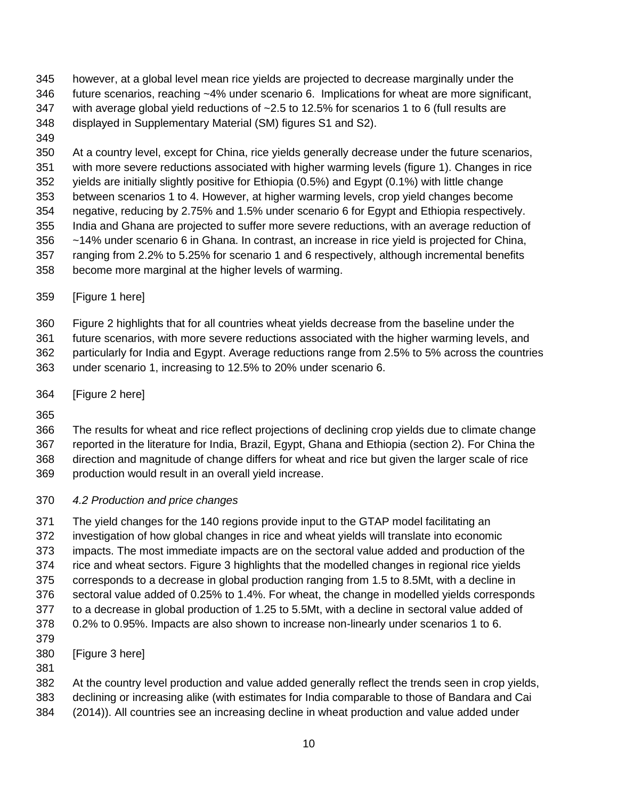however, at a global level mean rice yields are projected to decrease marginally under the future scenarios, reaching ~4% under scenario 6. Implications for wheat are more significant, with average global yield reductions of ~2.5 to 12.5% for scenarios 1 to 6 (full results are displayed in Supplementary Material (SM) figures S1 and S2).

 At a country level, except for China, rice yields generally decrease under the future scenarios, with more severe reductions associated with higher warming levels (figure 1). Changes in rice yields are initially slightly positive for Ethiopia (0.5%) and Egypt (0.1%) with little change between scenarios 1 to 4. However, at higher warming levels, crop yield changes become negative, reducing by 2.75% and 1.5% under scenario 6 for Egypt and Ethiopia respectively. India and Ghana are projected to suffer more severe reductions, with an average reduction of ~14% under scenario 6 in Ghana. In contrast, an increase in rice yield is projected for China, ranging from 2.2% to 5.25% for scenario 1 and 6 respectively, although incremental benefits become more marginal at the higher levels of warming.

[Figure 1 here]

Figure 2 highlights that for all countries wheat yields decrease from the baseline under the

 future scenarios, with more severe reductions associated with the higher warming levels, and particularly for India and Egypt. Average reductions range from 2.5% to 5% across the countries under scenario 1, increasing to 12.5% to 20% under scenario 6.

[Figure 2 here]

 The results for wheat and rice reflect projections of declining crop yields due to climate change reported in the literature for India, Brazil, Egypt, Ghana and Ethiopia (section 2). For China the direction and magnitude of change differs for wheat and rice but given the larger scale of rice production would result in an overall yield increase.

## *4.2 Production and price changes*

 The yield changes for the 140 regions provide input to the GTAP model facilitating an investigation of how global changes in rice and wheat yields will translate into economic impacts. The most immediate impacts are on the sectoral value added and production of the rice and wheat sectors. Figure 3 highlights that the modelled changes in regional rice yields corresponds to a decrease in global production ranging from 1.5 to 8.5Mt, with a decline in sectoral value added of 0.25% to 1.4%. For wheat, the change in modelled yields corresponds to a decrease in global production of 1.25 to 5.5Mt, with a decline in sectoral value added of 0.2% to 0.95%. Impacts are also shown to increase non-linearly under scenarios 1 to 6. 

[Figure 3 here]

At the country level production and value added generally reflect the trends seen in crop yields,

- declining or increasing alike (with estimates for India comparable to those of Bandara and Cai
- (2014)). All countries see an increasing decline in wheat production and value added under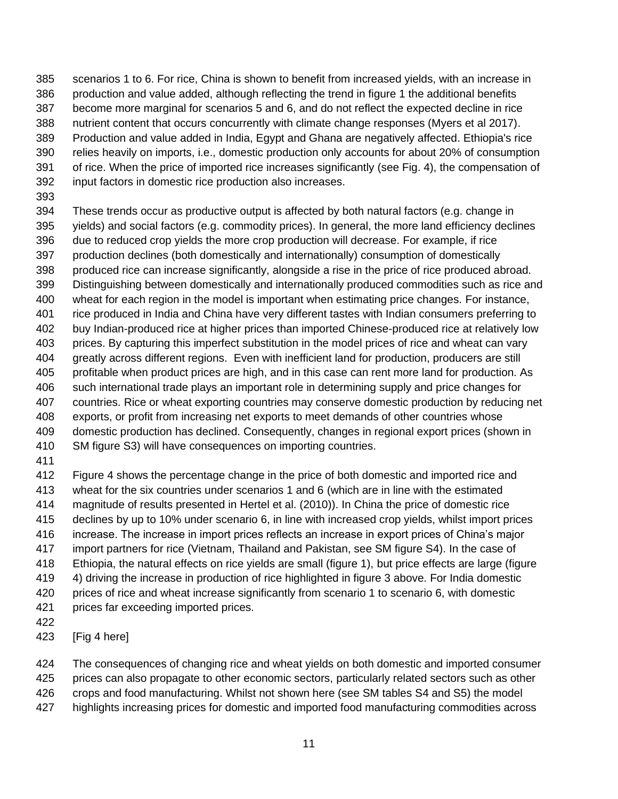scenarios 1 to 6. For rice, China is shown to benefit from increased yields, with an increase in production and value added, although reflecting the trend in figure 1 the additional benefits become more marginal for scenarios 5 and 6, and do not reflect the expected decline in rice nutrient content that occurs concurrently with climate change responses (Myers et al 2017). Production and value added in India, Egypt and Ghana are negatively affected. Ethiopia's rice relies heavily on imports, i.e., domestic production only accounts for about 20% of consumption of rice. When the price of imported rice increases significantly (see Fig. 4), the compensation of input factors in domestic rice production also increases.

- These trends occur as productive output is affected by both natural factors (e.g. change in yields) and social factors (e.g. commodity prices). In general, the more land efficiency declines due to reduced crop yields the more crop production will decrease. For example, if rice production declines (both domestically and internationally) consumption of domestically produced rice can increase significantly, alongside a rise in the price of rice produced abroad. Distinguishing between domestically and internationally produced commodities such as rice and wheat for each region in the model is important when estimating price changes. For instance, rice produced in India and China have very different tastes with Indian consumers preferring to buy Indian-produced rice at higher prices than imported Chinese-produced rice at relatively low prices. By capturing this imperfect substitution in the model prices of rice and wheat can vary greatly across different regions. Even with inefficient land for production, producers are still profitable when product prices are high, and in this case can rent more land for production. As such international trade plays an important role in determining supply and price changes for countries. Rice or wheat exporting countries may conserve domestic production by reducing net exports, or profit from increasing net exports to meet demands of other countries whose domestic production has declined. Consequently, changes in regional export prices (shown in SM figure S3) will have consequences on importing countries.
- 

 Figure 4 shows the percentage change in the price of both domestic and imported rice and wheat for the six countries under scenarios 1 and 6 (which are in line with the estimated magnitude of results presented in Hertel et al. (2010)). In China the price of domestic rice declines by up to 10% under scenario 6, in line with increased crop yields, whilst import prices increase. The increase in import prices reflects an increase in export prices of China's major import partners for rice (Vietnam, Thailand and Pakistan, see SM figure S4). In the case of Ethiopia, the natural effects on rice yields are small (figure 1), but price effects are large (figure 4) driving the increase in production of rice highlighted in figure 3 above. For India domestic prices of rice and wheat increase significantly from scenario 1 to scenario 6, with domestic prices far exceeding imported prices.

- 
- [Fig 4 here]

424 The consequences of changing rice and wheat yields on both domestic and imported consumer prices can also propagate to other economic sectors, particularly related sectors such as other

crops and food manufacturing. Whilst not shown here (see SM tables S4 and S5) the model

highlights increasing prices for domestic and imported food manufacturing commodities across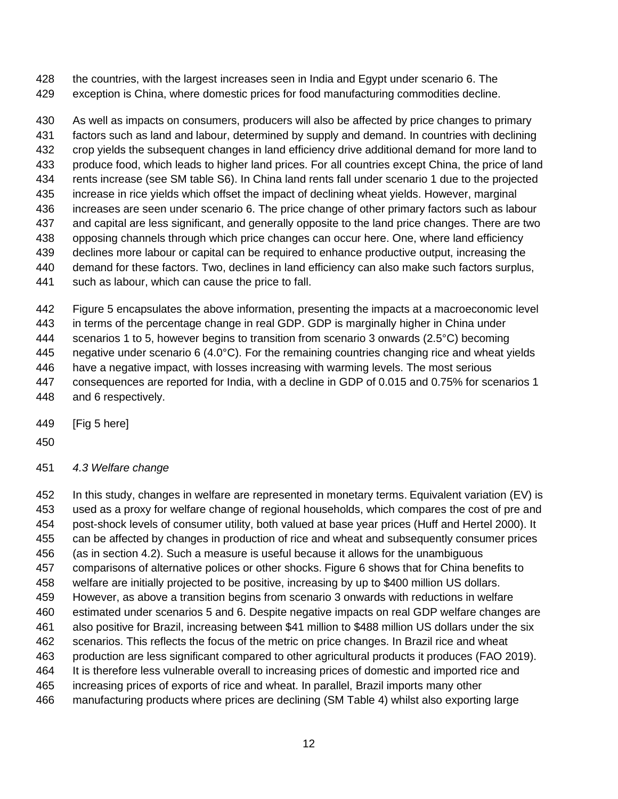the countries, with the largest increases seen in India and Egypt under scenario 6. The exception is China, where domestic prices for food manufacturing commodities decline.

 As well as impacts on consumers, producers will also be affected by price changes to primary factors such as land and labour, determined by supply and demand. In countries with declining crop yields the subsequent changes in land efficiency drive additional demand for more land to produce food, which leads to higher land prices. For all countries except China, the price of land rents increase (see SM table S6). In China land rents fall under scenario 1 due to the projected increase in rice yields which offset the impact of declining wheat yields. However, marginal increases are seen under scenario 6. The price change of other primary factors such as labour and capital are less significant, and generally opposite to the land price changes. There are two opposing channels through which price changes can occur here. One, where land efficiency declines more labour or capital can be required to enhance productive output, increasing the demand for these factors. Two, declines in land efficiency can also make such factors surplus, such as labour, which can cause the price to fall.

 Figure 5 encapsulates the above information, presenting the impacts at a macroeconomic level in terms of the percentage change in real GDP. GDP is marginally higher in China under scenarios 1 to 5, however begins to transition from scenario 3 onwards (2.5°C) becoming negative under scenario 6 (4.0°C). For the remaining countries changing rice and wheat yields have a negative impact, with losses increasing with warming levels. The most serious consequences are reported for India, with a decline in GDP of 0.015 and 0.75% for scenarios 1 and 6 respectively.

[Fig 5 here]

*4.3 Welfare change*

 In this study, changes in welfare are represented in monetary terms. Equivalent variation (EV) is used as a proxy for welfare change of regional households, which compares the cost of pre and post-shock levels of consumer utility, both valued at base year prices (Huff and Hertel 2000). It can be affected by changes in production of rice and wheat and subsequently consumer prices (as in section 4.2). Such a measure is useful because it allows for the unambiguous comparisons of alternative polices or other shocks. Figure 6 shows that for China benefits to welfare are initially projected to be positive, increasing by up to \$400 million US dollars. However, as above a transition begins from scenario 3 onwards with reductions in welfare estimated under scenarios 5 and 6. Despite negative impacts on real GDP welfare changes are also positive for Brazil, increasing between \$41 million to \$488 million US dollars under the six scenarios. This reflects the focus of the metric on price changes. In Brazil rice and wheat 463 production are less significant compared to other agricultural products it produces (FAO 2019). It is therefore less vulnerable overall to increasing prices of domestic and imported rice and increasing prices of exports of rice and wheat. In parallel, Brazil imports many other manufacturing products where prices are declining (SM Table 4) whilst also exporting large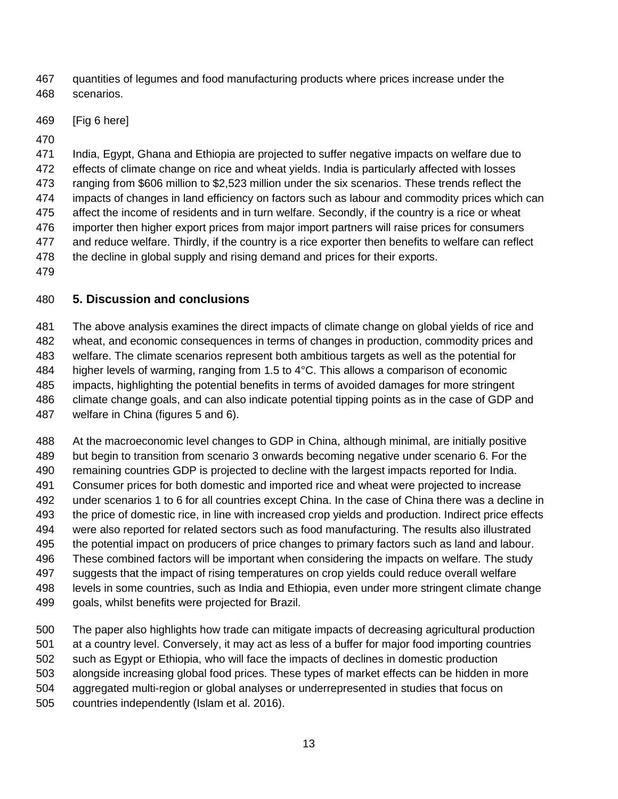quantities of legumes and food manufacturing products where prices increase under the scenarios.

[Fig 6 here]

 India, Egypt, Ghana and Ethiopia are projected to suffer negative impacts on welfare due to effects of climate change on rice and wheat yields. India is particularly affected with losses ranging from \$606 million to \$2,523 million under the six scenarios. These trends reflect the impacts of changes in land efficiency on factors such as labour and commodity prices which can affect the income of residents and in turn welfare. Secondly, if the country is a rice or wheat importer then higher export prices from major import partners will raise prices for consumers and reduce welfare. Thirdly, if the country is a rice exporter then benefits to welfare can reflect the decline in global supply and rising demand and prices for their exports.

## **5. Discussion and conclusions**

 The above analysis examines the direct impacts of climate change on global yields of rice and wheat, and economic consequences in terms of changes in production, commodity prices and welfare. The climate scenarios represent both ambitious targets as well as the potential for higher levels of warming, ranging from 1.5 to 4°C. This allows a comparison of economic impacts, highlighting the potential benefits in terms of avoided damages for more stringent climate change goals, and can also indicate potential tipping points as in the case of GDP and welfare in China (figures 5 and 6).

 At the macroeconomic level changes to GDP in China, although minimal, are initially positive but begin to transition from scenario 3 onwards becoming negative under scenario 6. For the remaining countries GDP is projected to decline with the largest impacts reported for India. Consumer prices for both domestic and imported rice and wheat were projected to increase under scenarios 1 to 6 for all countries except China. In the case of China there was a decline in the price of domestic rice, in line with increased crop yields and production. Indirect price effects were also reported for related sectors such as food manufacturing. The results also illustrated the potential impact on producers of price changes to primary factors such as land and labour. These combined factors will be important when considering the impacts on welfare. The study suggests that the impact of rising temperatures on crop yields could reduce overall welfare levels in some countries, such as India and Ethiopia, even under more stringent climate change goals, whilst benefits were projected for Brazil.

 The paper also highlights how trade can mitigate impacts of decreasing agricultural production at a country level. Conversely, it may act as less of a buffer for major food importing countries such as Egypt or Ethiopia, who will face the impacts of declines in domestic production alongside increasing global food prices. These types of market effects can be hidden in more aggregated multi-region or global analyses or underrepresented in studies that focus on countries independently (Islam et al. 2016).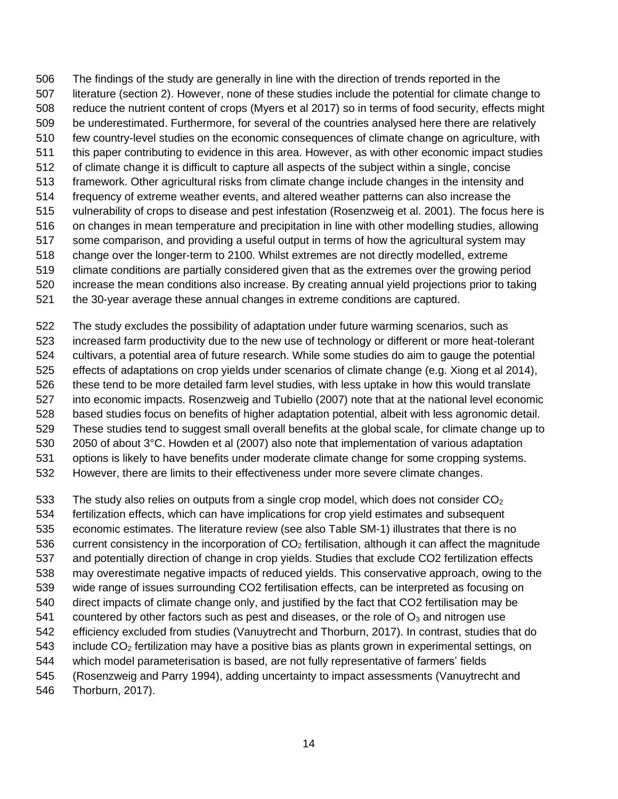The findings of the study are generally in line with the direction of trends reported in the literature (section 2). However, none of these studies include the potential for climate change to reduce the nutrient content of crops (Myers et al 2017) so in terms of food security, effects might be underestimated. Furthermore, for several of the countries analysed here there are relatively few country-level studies on the economic consequences of climate change on agriculture, with this paper contributing to evidence in this area. However, as with other economic impact studies of climate change it is difficult to capture all aspects of the subject within a single, concise framework. Other agricultural risks from climate change include changes in the intensity and frequency of extreme weather events, and altered weather patterns can also increase the vulnerability of crops to disease and pest infestation (Rosenzweig et al. 2001). The focus here is on changes in mean temperature and precipitation in line with other modelling studies, allowing some comparison, and providing a useful output in terms of how the agricultural system may change over the longer-term to 2100. Whilst extremes are not directly modelled, extreme climate conditions are partially considered given that as the extremes over the growing period increase the mean conditions also increase. By creating annual yield projections prior to taking the 30-year average these annual changes in extreme conditions are captured.

 The study excludes the possibility of adaptation under future warming scenarios, such as increased farm productivity due to the new use of technology or different or more heat-tolerant cultivars, a potential area of future research. While some studies do aim to gauge the potential effects of adaptations on crop yields under scenarios of climate change (e.g. Xiong et al 2014), these tend to be more detailed farm level studies, with less uptake in how this would translate into economic impacts. Rosenzweig and Tubiello (2007) note that at the national level economic based studies focus on benefits of higher adaptation potential, albeit with less agronomic detail. These studies tend to suggest small overall benefits at the global scale, for climate change up to 2050 of about 3°C. Howden et al (2007) also note that implementation of various adaptation options is likely to have benefits under moderate climate change for some cropping systems. However, there are limits to their effectiveness under more severe climate changes.

533 The study also relies on outputs from a single crop model, which does not consider  $CO<sub>2</sub>$ 

fertilization effects, which can have implications for crop yield estimates and subsequent

economic estimates. The literature review (see also Table SM-1) illustrates that there is no

536 current consistency in the incorporation of  $CO<sub>2</sub>$  fertilisation, although it can affect the magnitude

and potentially direction of change in crop yields. Studies that exclude CO2 fertilization effects

may overestimate negative impacts of reduced yields. This conservative approach, owing to the

 wide range of issues surrounding CO2 fertilisation effects, can be interpreted as focusing on direct impacts of climate change only, and justified by the fact that CO2 fertilisation may be

541 countered by other factors such as pest and diseases, or the role of  $\mathsf{O}_3$  and nitrogen use

efficiency excluded from studies (Vanuytrecht and Thorburn, 2017). In contrast, studies that do

543 include  $CO<sub>2</sub>$  fertilization may have a positive bias as plants grown in experimental settings, on

which model parameterisation is based, are not fully representative of farmers' fields

(Rosenzweig and Parry 1994), adding uncertainty to impact assessments (Vanuytrecht and

Thorburn, 2017).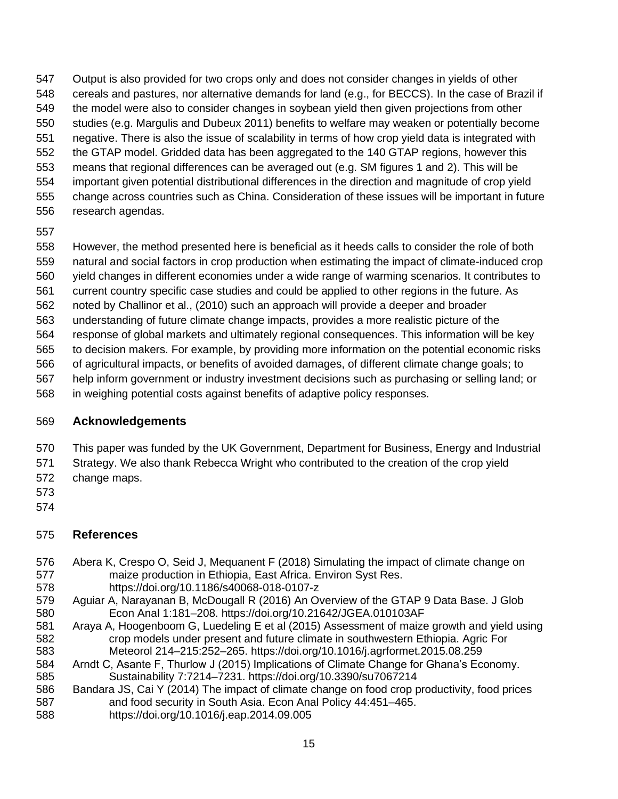Output is also provided for two crops only and does not consider changes in yields of other cereals and pastures, nor alternative demands for land (e.g., for BECCS). In the case of Brazil if the model were also to consider changes in soybean yield then given projections from other studies (e.g. Margulis and Dubeux 2011) benefits to welfare may weaken or potentially become negative. There is also the issue of scalability in terms of how crop yield data is integrated with the GTAP model. Gridded data has been aggregated to the 140 GTAP regions, however this means that regional differences can be averaged out (e.g. SM figures 1 and 2). This will be important given potential distributional differences in the direction and magnitude of crop yield change across countries such as China. Consideration of these issues will be important in future research agendas.

 However, the method presented here is beneficial as it heeds calls to consider the role of both natural and social factors in crop production when estimating the impact of climate-induced crop

yield changes in different economies under a wide range of warming scenarios. It contributes to

- current country specific case studies and could be applied to other regions in the future. As
- noted by Challinor et al., (2010) such an approach will provide a deeper and broader

understanding of future climate change impacts, provides a more realistic picture of the

response of global markets and ultimately regional consequences. This information will be key

 to decision makers. For example, by providing more information on the potential economic risks of agricultural impacts, or benefits of avoided damages, of different climate change goals; to

help inform government or industry investment decisions such as purchasing or selling land; or

in weighing potential costs against benefits of adaptive policy responses.

## **Acknowledgements**

This paper was funded by the UK Government, Department for Business, Energy and Industrial

 Strategy. We also thank Rebecca Wright who contributed to the creation of the crop yield change maps.

- 
- 
- 

# **References**

- Abera K, Crespo O, Seid J, Mequanent F (2018) Simulating the impact of climate change on maize production in Ethiopia, East Africa. Environ Syst Res. https://doi.org/10.1186/s40068-018-0107-z
- Aguiar A, Narayanan B, McDougall R (2016) An Overview of the GTAP 9 Data Base. J Glob Econ Anal 1:181–208. https://doi.org/10.21642/JGEA.010103AF
- Araya A, Hoogenboom G, Luedeling E et al (2015) Assessment of maize growth and yield using crop models under present and future climate in southwestern Ethiopia. Agric For Meteorol 214–215:252–265. https://doi.org/10.1016/j.agrformet.2015.08.259
- Arndt C, Asante F, Thurlow J (2015) Implications of Climate Change for Ghana's Economy. Sustainability 7:7214–7231. https://doi.org/10.3390/su7067214
- Bandara JS, Cai Y (2014) The impact of climate change on food crop productivity, food prices and food security in South Asia. Econ Anal Policy 44:451–465. https://doi.org/10.1016/j.eap.2014.09.005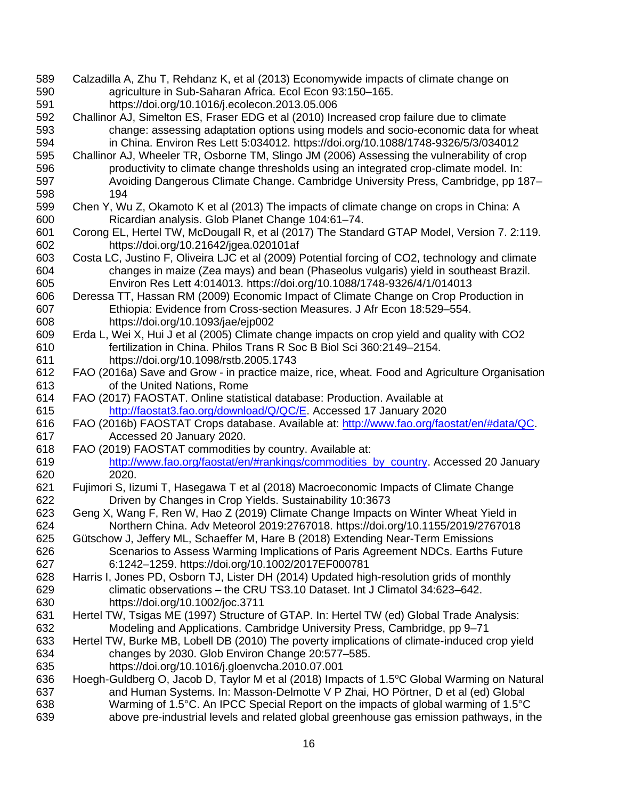- Calzadilla A, Zhu T, Rehdanz K, et al (2013) Economywide impacts of climate change on agriculture in Sub-Saharan Africa. Ecol Econ 93:150–165. https://doi.org/10.1016/j.ecolecon.2013.05.006
- Challinor AJ, Simelton ES, Fraser EDG et al (2010) Increased crop failure due to climate change: assessing adaptation options using models and socio-economic data for wheat in China. Environ Res Lett 5:034012. https://doi.org/10.1088/1748-9326/5/3/034012
- Challinor AJ, Wheeler TR, Osborne TM, Slingo JM (2006) Assessing the vulnerability of crop productivity to climate change thresholds using an integrated crop-climate model. In: Avoiding Dangerous Climate Change. Cambridge University Press, Cambridge, pp 187– 194
- Chen Y, Wu Z, Okamoto K et al (2013) The impacts of climate change on crops in China: A Ricardian analysis. Glob Planet Change 104:61–74.
- Corong EL, Hertel TW, McDougall R, et al (2017) The Standard GTAP Model, Version 7. 2:119. https://doi.org/10.21642/jgea.020101af
- Costa LC, Justino F, Oliveira LJC et al (2009) Potential forcing of CO2, technology and climate changes in maize (Zea mays) and bean (Phaseolus vulgaris) yield in southeast Brazil. Environ Res Lett 4:014013. https://doi.org/10.1088/1748-9326/4/1/014013
- Deressa TT, Hassan RM (2009) Economic Impact of Climate Change on Crop Production in Ethiopia: Evidence from Cross-section Measures. J Afr Econ 18:529–554. https://doi.org/10.1093/jae/ejp002
- Erda L, Wei X, Hui J et al (2005) Climate change impacts on crop yield and quality with CO2 fertilization in China. Philos Trans R Soc B Biol Sci 360:2149–2154. https://doi.org/10.1098/rstb.2005.1743
- FAO (2016a) Save and Grow in practice maize, rice, wheat. Food and Agriculture Organisation of the United Nations, Rome
- FAO (2017) FAOSTAT. Online statistical database: Production. Available at [http://faostat3.fao.org/download/Q/QC/E.](http://faostat3.fao.org/download/Q/QC/E) Accessed 17 January 2020
- FAO (2016b) FAOSTAT Crops database. Available at: [http://www.fao.org/faostat/en/#data/QC.](http://www.fao.org/faostat/en/#data/QC) Accessed 20 January 2020.
- FAO (2019) FAOSTAT commodities by country. Available at:
- [http://www.fao.org/faostat/en/#rankings/commodities\\_by\\_country.](http://www.fao.org/faostat/en/#rankings/commodities_by_country) Accessed 20 January 2020.
- Fujimori S, Iizumi T, Hasegawa T et al (2018) Macroeconomic Impacts of Climate Change Driven by Changes in Crop Yields. Sustainability 10:3673
- Geng X, Wang F, Ren W, Hao Z (2019) Climate Change Impacts on Winter Wheat Yield in Northern China. Adv Meteorol 2019:2767018. https://doi.org/10.1155/2019/2767018
- Gütschow J, Jeffery ML, Schaeffer M, Hare B (2018) Extending Near-Term Emissions Scenarios to Assess Warming Implications of Paris Agreement NDCs. Earths Future 6:1242–1259. https://doi.org/10.1002/2017EF000781
- Harris I, Jones PD, Osborn TJ, Lister DH (2014) Updated high-resolution grids of monthly climatic observations – the CRU TS3.10 Dataset. Int J Climatol 34:623–642. https://doi.org/10.1002/joc.3711
- Hertel TW, Tsigas ME (1997) Structure of GTAP. In: Hertel TW (ed) Global Trade Analysis: Modeling and Applications. Cambridge University Press, Cambridge, pp 9–71
- Hertel TW, Burke MB, Lobell DB (2010) The poverty implications of climate-induced crop yield changes by 2030. Glob Environ Change 20:577–585. https://doi.org/10.1016/j.gloenvcha.2010.07.001
- 636 Hoegh-Guldberg O, Jacob D, Taylor M et al (2018) Impacts of 1.5 °C Global Warming on Natural and Human Systems. In: Masson-Delmotte V P Zhai, HO Pörtner, D et al (ed) Global Warming of 1.5°C. An IPCC Special Report on the impacts of global warming of 1.5°C above pre-industrial levels and related global greenhouse gas emission pathways, in the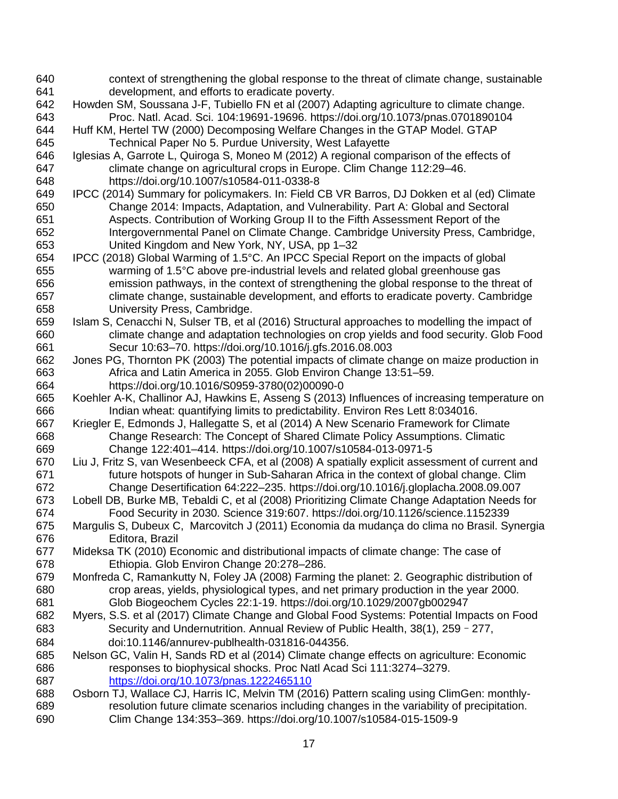context of strengthening the global response to the threat of climate change, sustainable development, and efforts to eradicate poverty. Howden SM, Soussana J-F, Tubiello FN et al (2007) Adapting agriculture to climate change. Proc. Natl. Acad. Sci. 104:19691-19696. <https://doi.org/10.1073/pnas.0701890104> Huff KM, Hertel TW (2000) Decomposing Welfare Changes in the GTAP Model. GTAP Technical Paper No 5. Purdue University, West Lafayette Iglesias A, Garrote L, Quiroga S, Moneo M (2012) A regional comparison of the effects of climate change on agricultural crops in Europe. Clim Change 112:29–46. https://doi.org/10.1007/s10584-011-0338-8 IPCC (2014) Summary for policymakers. In: Field CB VR Barros, DJ Dokken et al (ed) Climate Change 2014: Impacts, Adaptation, and Vulnerability. Part A: Global and Sectoral Aspects. Contribution of Working Group II to the Fifth Assessment Report of the Intergovernmental Panel on Climate Change. Cambridge University Press, Cambridge, United Kingdom and New York, NY, USA, pp 1–32 IPCC (2018) Global Warming of 1.5°C. An IPCC Special Report on the impacts of global warming of 1.5°C above pre-industrial levels and related global greenhouse gas emission pathways, in the context of strengthening the global response to the threat of climate change, sustainable development, and efforts to eradicate poverty. Cambridge University Press, Cambridge. Islam S, Cenacchi N, Sulser TB, et al (2016) Structural approaches to modelling the impact of climate change and adaptation technologies on crop yields and food security. Glob Food Secur 10:63–70. https://doi.org/10.1016/j.gfs.2016.08.003 Jones PG, Thornton PK (2003) The potential impacts of climate change on maize production in Africa and Latin America in 2055. Glob Environ Change 13:51–59. https://doi.org/10.1016/S0959-3780(02)00090-0 Koehler A-K, Challinor AJ, Hawkins E, Asseng S (2013) Influences of increasing temperature on Indian wheat: quantifying limits to predictability. Environ Res Lett 8:034016. Kriegler E, Edmonds J, Hallegatte S, et al (2014) A New Scenario Framework for Climate Change Research: The Concept of Shared Climate Policy Assumptions. Climatic Change 122:401–414. https://doi.org/10.1007/s10584-013-0971-5 Liu J, Fritz S, van Wesenbeeck CFA, et al (2008) A spatially explicit assessment of current and future hotspots of hunger in Sub-Saharan Africa in the context of global change. Clim Change Desertification 64:222–235. https://doi.org/10.1016/j.gloplacha.2008.09.007 Lobell DB, Burke MB, Tebaldi C, et al (2008) Prioritizing Climate Change Adaptation Needs for Food Security in 2030. Science 319:607. https://doi.org/10.1126/science.1152339 Margulis S, Dubeux C, [Marcovitch](https://www.amazon.com.br/s/ref=dp_byline_sr_book_3?ie=UTF8&field-author=Jacques+Marcovitch&search-alias=books) J (2011) Economia da mudança do clima no Brasil. Synergia Editora, Brazil Mideksa TK (2010) Economic and distributional impacts of climate change: The case of Ethiopia. Glob Environ Change 20:278–286. Monfreda C, Ramankutty N, Foley JA (2008) Farming the planet: 2. Geographic distribution of crop areas, yields, physiological types, and net primary production in the year 2000. Glob Biogeochem Cycles 22:1-19. https://doi.org/10.1029/2007gb002947 Myers, S.S. et al (2017) Climate Change and Global Food Systems: Potential Impacts on Food Security and Undernutrition. Annual Review of Public Health, 38(1), 259–277, doi:10.1146/annurev-publhealth-031816-044356. Nelson GC, Valin H, Sands RD et al (2014) Climate change effects on agriculture: Economic responses to biophysical shocks. Proc Natl Acad Sci 111:3274–3279. <https://doi.org/10.1073/pnas.1222465110> Osborn TJ, Wallace CJ, Harris IC, Melvin TM (2016) Pattern scaling using ClimGen: monthly- resolution future climate scenarios including changes in the variability of precipitation. Clim Change 134:353–369. https://doi.org/10.1007/s10584-015-1509-9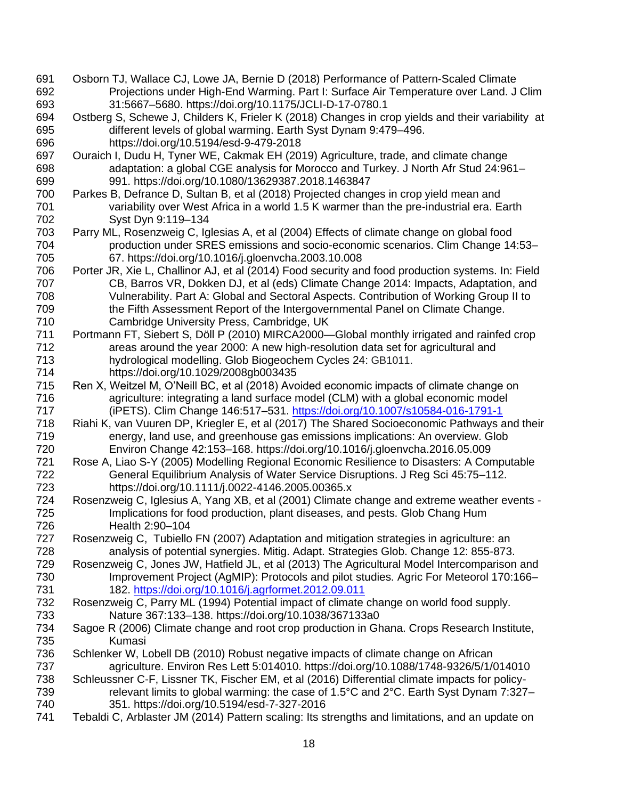- Osborn TJ, Wallace CJ, Lowe JA, Bernie D (2018) Performance of Pattern-Scaled Climate Projections under High-End Warming. Part I: Surface Air Temperature over Land. J Clim 31:5667–5680. https://doi.org/10.1175/JCLI-D-17-0780.1
- Ostberg S, Schewe J, Childers K, Frieler K (2018) Changes in crop yields and their variability at different levels of global warming. Earth Syst Dynam 9:479–496. https://doi.org/10.5194/esd-9-479-2018
- Ouraich I, Dudu H, Tyner WE, Cakmak EH (2019) Agriculture, trade, and climate change adaptation: a global CGE analysis for Morocco and Turkey. J North Afr Stud 24:961– 991. https://doi.org/10.1080/13629387.2018.1463847
- Parkes B, Defrance D, Sultan B, et al (2018) Projected changes in crop yield mean and variability over West Africa in a world 1.5 K warmer than the pre-industrial era. Earth Syst Dyn 9:119–134
- Parry ML, Rosenzweig C, Iglesias A, et al (2004) Effects of climate change on global food production under SRES emissions and socio-economic scenarios. Clim Change 14:53– 67. https://doi.org/10.1016/j.gloenvcha.2003.10.008
- Porter JR, Xie L, Challinor AJ, et al (2014) Food security and food production systems. In: Field CB, Barros VR, Dokken DJ, et al (eds) Climate Change 2014: Impacts, Adaptation, and Vulnerability. Part A: Global and Sectoral Aspects. Contribution of Working Group II to 709 the Fifth Assessment Report of the Intergovernmental Panel on Climate Change. Cambridge University Press, Cambridge, UK
- Portmann FT, Siebert S, Döll P (2010) MIRCA2000—Global monthly irrigated and rainfed crop areas around the year 2000: A new high-resolution data set for agricultural and hydrological modelling. Glob Biogeochem Cycles 24: GB1011. https://doi.org/10.1029/2008gb003435
- Ren X, Weitzel M, O'Neill BC, et al (2018) Avoided economic impacts of climate change on agriculture: integrating a land surface model (CLM) with a global economic model (iPETS). Clim Change 146:517–531.<https://doi.org/10.1007/s10584-016-1791-1>
- Riahi K, van Vuuren DP, Kriegler E, et al (2017) The Shared Socioeconomic Pathways and their energy, land use, and greenhouse gas emissions implications: An overview. Glob Environ Change 42:153–168. https://doi.org/10.1016/j.gloenvcha.2016.05.009
- Rose A, Liao S-Y (2005) Modelling Regional Economic Resilience to Disasters: A Computable General Equilibrium Analysis of Water Service Disruptions. J Reg Sci 45:75–112. https://doi.org/10.1111/j.0022-4146.2005.00365.x
- Rosenzweig C, Iglesius A, Yang XB, et al (2001) Climate change and extreme weather events Implications for food production, plant diseases, and pests. Glob Chang Hum Health 2:90–104
- Rosenzweig C, Tubiello FN (2007) Adaptation and mitigation strategies in agriculture: an analysis of potential synergies. Mitig. Adapt. Strategies Glob. Change 12: 855-873.
- Rosenzweig C, Jones JW, Hatfield JL, et al (2013) The Agricultural Model Intercomparison and Improvement Project (AgMIP): Protocols and pilot studies. Agric For Meteorol 170:166– 182.<https://doi.org/10.1016/j.agrformet.2012.09.011>
- Rosenzweig C, Parry ML (1994) Potential impact of climate change on world food supply. Nature 367:133–138. https://doi.org/10.1038/367133a0
- Sagoe R (2006) Climate change and root crop production in Ghana. Crops Research Institute, Kumasi
- Schlenker W, Lobell DB (2010) Robust negative impacts of climate change on African agriculture. Environ Res Lett 5:014010. https://doi.org/10.1088/1748-9326/5/1/014010
- Schleussner C-F, Lissner TK, Fischer EM, et al (2016) Differential climate impacts for policy-739 relevant limits to global warming: the case of 1.5°C and 2°C. Earth Syst Dynam 7:327– 351. https://doi.org/10.5194/esd-7-327-2016
- Tebaldi C, Arblaster JM (2014) Pattern scaling: Its strengths and limitations, and an update on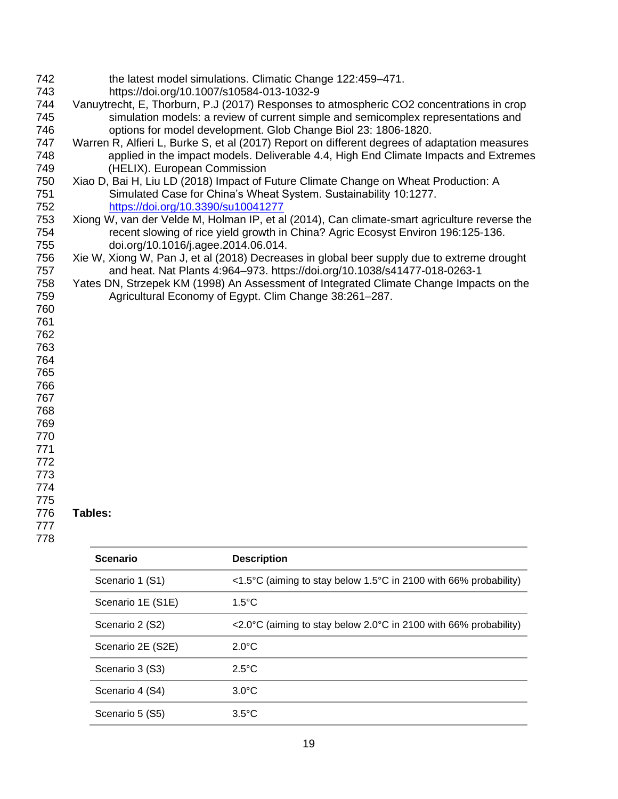| 742<br>743<br>744<br>745<br>746 |                                     | the latest model simulations. Climatic Change 122:459-471.<br>https://doi.org/10.1007/s10584-013-1032-9<br>Vanuytrecht, E, Thorburn, P.J (2017) Responses to atmospheric CO2 concentrations in crop<br>simulation models: a review of current simple and semicomplex representations and<br>options for model development. Glob Change Biol 23: 1806-1820. |  |  |  |  |  |
|---------------------------------|-------------------------------------|------------------------------------------------------------------------------------------------------------------------------------------------------------------------------------------------------------------------------------------------------------------------------------------------------------------------------------------------------------|--|--|--|--|--|
| 747<br>748                      |                                     | Warren R, Alfieri L, Burke S, et al (2017) Report on different degrees of adaptation measures<br>applied in the impact models. Deliverable 4.4, High End Climate Impacts and Extremes                                                                                                                                                                      |  |  |  |  |  |
| 749<br>750                      |                                     | (HELIX). European Commission<br>Xiao D, Bai H, Liu LD (2018) Impact of Future Climate Change on Wheat Production: A                                                                                                                                                                                                                                        |  |  |  |  |  |
| 751                             |                                     |                                                                                                                                                                                                                                                                                                                                                            |  |  |  |  |  |
| 752                             |                                     | Simulated Case for China's Wheat System. Sustainability 10:1277.<br>https://doi.org/10.3390/su10041277                                                                                                                                                                                                                                                     |  |  |  |  |  |
| 753                             |                                     |                                                                                                                                                                                                                                                                                                                                                            |  |  |  |  |  |
| 754<br>755                      | doi.org/10.1016/j.agee.2014.06.014. | Xiong W, van der Velde M, Holman IP, et al (2014), Can climate-smart agriculture reverse the<br>recent slowing of rice yield growth in China? Agric Ecosyst Environ 196:125-136.                                                                                                                                                                           |  |  |  |  |  |
| 756                             |                                     | Xie W, Xiong W, Pan J, et al (2018) Decreases in global beer supply due to extreme drought                                                                                                                                                                                                                                                                 |  |  |  |  |  |
| 757                             |                                     | and heat. Nat Plants 4:964-973. https://doi.org/10.1038/s41477-018-0263-1                                                                                                                                                                                                                                                                                  |  |  |  |  |  |
| 758                             |                                     | Yates DN, Strzepek KM (1998) An Assessment of Integrated Climate Change Impacts on the                                                                                                                                                                                                                                                                     |  |  |  |  |  |
| 759                             |                                     | Agricultural Economy of Egypt. Clim Change 38:261-287.                                                                                                                                                                                                                                                                                                     |  |  |  |  |  |
| 760                             |                                     |                                                                                                                                                                                                                                                                                                                                                            |  |  |  |  |  |
| 761                             |                                     |                                                                                                                                                                                                                                                                                                                                                            |  |  |  |  |  |
| 762                             |                                     |                                                                                                                                                                                                                                                                                                                                                            |  |  |  |  |  |
| 763                             |                                     |                                                                                                                                                                                                                                                                                                                                                            |  |  |  |  |  |
| 764                             |                                     |                                                                                                                                                                                                                                                                                                                                                            |  |  |  |  |  |
| 765                             |                                     |                                                                                                                                                                                                                                                                                                                                                            |  |  |  |  |  |
| 766                             |                                     |                                                                                                                                                                                                                                                                                                                                                            |  |  |  |  |  |
| 767                             |                                     |                                                                                                                                                                                                                                                                                                                                                            |  |  |  |  |  |
| 768                             |                                     |                                                                                                                                                                                                                                                                                                                                                            |  |  |  |  |  |
| 769                             |                                     |                                                                                                                                                                                                                                                                                                                                                            |  |  |  |  |  |
| 770<br>771                      |                                     |                                                                                                                                                                                                                                                                                                                                                            |  |  |  |  |  |
| 772                             |                                     |                                                                                                                                                                                                                                                                                                                                                            |  |  |  |  |  |
| 773                             |                                     |                                                                                                                                                                                                                                                                                                                                                            |  |  |  |  |  |
| 774                             |                                     |                                                                                                                                                                                                                                                                                                                                                            |  |  |  |  |  |
| 775                             |                                     |                                                                                                                                                                                                                                                                                                                                                            |  |  |  |  |  |
| 776                             | Tables:                             |                                                                                                                                                                                                                                                                                                                                                            |  |  |  |  |  |
| 777                             |                                     |                                                                                                                                                                                                                                                                                                                                                            |  |  |  |  |  |
| 778                             |                                     |                                                                                                                                                                                                                                                                                                                                                            |  |  |  |  |  |
|                                 | <b>Scenario</b>                     | <b>Description</b>                                                                                                                                                                                                                                                                                                                                         |  |  |  |  |  |
|                                 | Scenario 1 (S1)                     | <1.5°C (aiming to stay below 1.5°C in 2100 with 66% probability)                                                                                                                                                                                                                                                                                           |  |  |  |  |  |
|                                 | Scenario 1E (S1E)                   | $1.5^{\circ}$ C                                                                                                                                                                                                                                                                                                                                            |  |  |  |  |  |
|                                 | Scenario 2 (S2)                     | <2.0°C (aiming to stay below 2.0°C in 2100 with 66% probability)                                                                                                                                                                                                                                                                                           |  |  |  |  |  |

| UUUUUUUL          | $\sim$ 2.0 $\sigma$ (all ling to stay below 2.0 $\sigma$ in 2100 with 00% probability) |
|-------------------|----------------------------------------------------------------------------------------|
| Scenario 2E (S2E) | $2.0^{\circ}$ C                                                                        |
| Scenario 3 (S3)   | $2.5^{\circ}$ C                                                                        |
| Scenario 4 (S4)   | $3.0^{\circ}$ C                                                                        |
| Scenario 5 (S5)   | $3.5^{\circ}$ C                                                                        |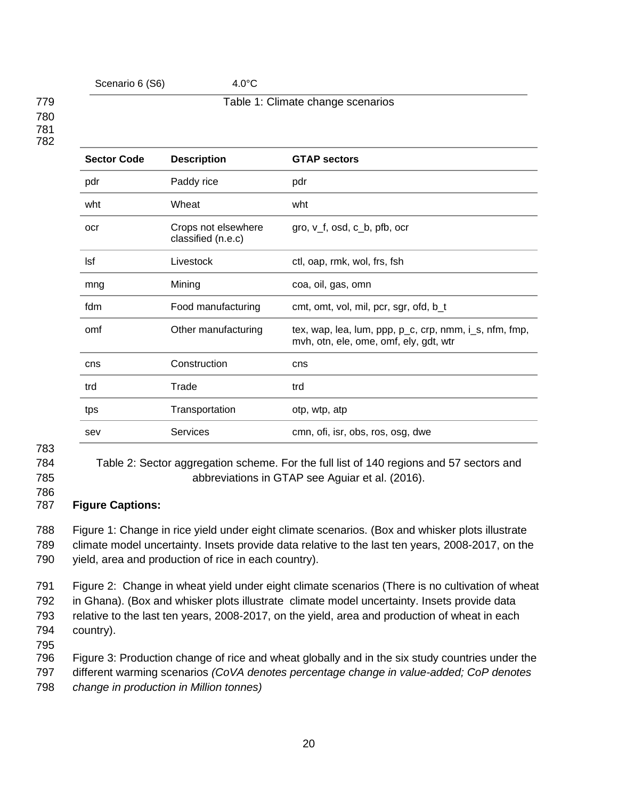#### Scenario 6 (S6) 4.0°C

#### 779 Table 1: Climate change scenarios 780 781 782

| <b>Sector Code</b> | <b>Description</b>                        | <b>GTAP sectors</b>                                                                              |
|--------------------|-------------------------------------------|--------------------------------------------------------------------------------------------------|
| pdr                | Paddy rice                                | pdr                                                                                              |
| wht                | Wheat                                     | wht                                                                                              |
| ocr                | Crops not elsewhere<br>classified (n.e.c) | gro, $v_f$ , osd, c $_b$ , pfb, ocr                                                              |
| Isf                | Livestock                                 | ctl, oap, rmk, wol, frs, fsh                                                                     |
| mng                | Mining                                    | coa, oil, gas, omn                                                                               |
| fdm                | Food manufacturing                        | cmt, omt, vol, mil, pcr, sgr, ofd, b_t                                                           |
| omf                | Other manufacturing                       | tex, wap, lea, lum, ppp, p_c, crp, nmm, i_s, nfm, fmp,<br>mvh, otn, ele, ome, omf, ely, gdt, wtr |
| cns                | Construction                              | cns                                                                                              |
| trd                | Trade                                     | trd                                                                                              |
| tps                | Transportation                            | otp, wtp, atp                                                                                    |
| sev                | Services                                  | cmn, ofi, isr, obs, ros, osg, dwe                                                                |
|                    |                                           |                                                                                                  |

- 783
- 

784 Table 2: Sector aggregation scheme. For the full list of 140 regions and 57 sectors and 785 abbreviations in GTAP see Aguiar et al. (2016).

786

## 787 **Figure Captions:**

788 Figure 1: Change in rice yield under eight climate scenarios. (Box and whisker plots illustrate 789 climate model uncertainty. Insets provide data relative to the last ten years, 2008-2017, on the 790 yield, area and production of rice in each country).

 Figure 2: Change in wheat yield under eight climate scenarios (There is no cultivation of wheat in Ghana). (Box and whisker plots illustrate climate model uncertainty. Insets provide data relative to the last ten years, 2008-2017, on the yield, area and production of wheat in each country).

795

796 Figure 3: Production change of rice and wheat globally and in the six study countries under the

797 different warming scenarios *(CoVA denotes percentage change in value-added; CoP denotes* 

798 *change in production in Million tonnes)*